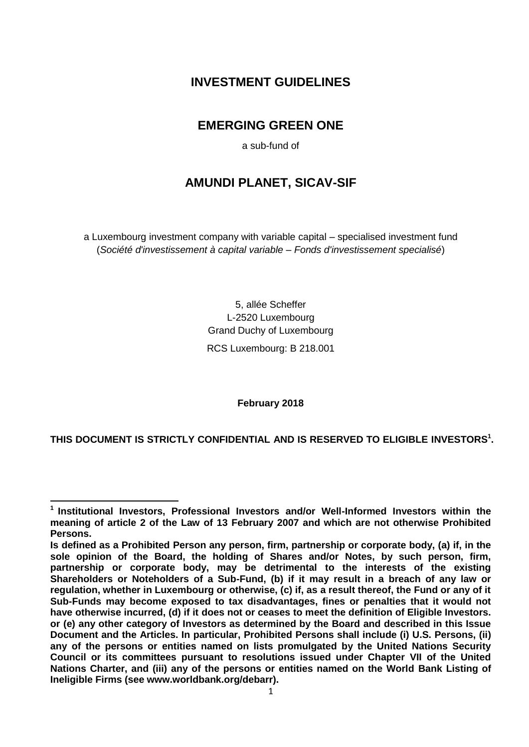# **INVESTMENT GUIDELINES**

# **EMERGING GREEN ONE**

a sub-fund of

# **AMUNDI PLANET, SICAV-SIF**

a Luxembourg investment company with variable capital – specialised investment fund (*Société d'investissement à capital variable – Fonds d'investissement specialisé*)

> 5, allée Scheffer L-2520 Luxembourg Grand Duchy of Luxembourg RCS Luxembourg: B 218.001

> > **February 2018**

**THIS DOCUMENT IS STRICTLY CONFIDENTIAL AND IS RESERVED TO ELIGIBLE INVESTORS<sup>1</sup> .** 

<sup>1</sup> **1 Institutional Investors, Professional Investors and/or Well-Informed Investors within the meaning of article 2 of the Law of 13 February 2007 and which are not otherwise Prohibited Persons.** 

**Is defined as a Prohibited Person any person, firm, partnership or corporate body, (a) if, in the sole opinion of the Board, the holding of Shares and/or Notes, by such person, firm, partnership or corporate body, may be detrimental to the interests of the existing Shareholders or Noteholders of a Sub-Fund, (b) if it may result in a breach of any law or regulation, whether in Luxembourg or otherwise, (c) if, as a result thereof, the Fund or any of it Sub-Funds may become exposed to tax disadvantages, fines or penalties that it would not have otherwise incurred, (d) if it does not or ceases to meet the definition of Eligible Investors. or (e) any other category of Investors as determined by the Board and described in this Issue Document and the Articles. In particular, Prohibited Persons shall include (i) U.S. Persons, (ii) any of the persons or entities named on lists promulgated by the United Nations Security Council or its committees pursuant to resolutions issued under Chapter VII of the United Nations Charter, and (iii) any of the persons or entities named on the World Bank Listing of Ineligible Firms (see www.worldbank.org/debarr).**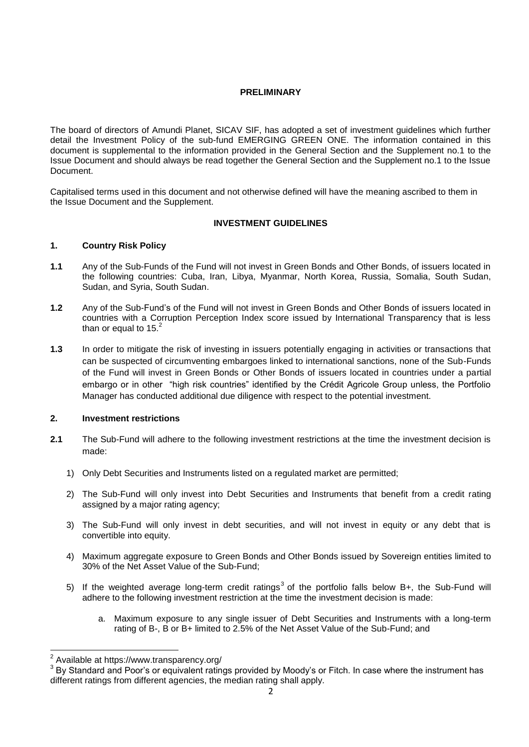#### **PRELIMINARY**

The board of directors of Amundi Planet, SICAV SIF, has adopted a set of investment guidelines which further detail the Investment Policy of the sub-fund EMERGING GREEN ONE. The information contained in this document is supplemental to the information provided in the General Section and the Supplement no.1 to the Issue Document and should always be read together the General Section and the Supplement no.1 to the Issue Document.

Capitalised terms used in this document and not otherwise defined will have the meaning ascribed to them in the Issue Document and the Supplement.

#### **INVESTMENT GUIDELINES**

#### **1. Country Risk Policy**

- **1.1** Any of the Sub-Funds of the Fund will not invest in Green Bonds and Other Bonds, of issuers located in the following countries: Cuba, Iran, Libya, Myanmar, North Korea, Russia, Somalia, South Sudan, Sudan, and Syria, South Sudan.
- **1.2** Any of the Sub-Fund's of the Fund will not invest in Green Bonds and Other Bonds of issuers located in countries with a Corruption Perception Index score issued by International Transparency that is less than or equal to  $15.<sup>2</sup>$
- **1.3** In order to mitigate the risk of investing in issuers potentially engaging in activities or transactions that can be suspected of circumventing embargoes linked to international sanctions, none of the Sub-Funds of the Fund will invest in Green Bonds or Other Bonds of issuers located in countries under a partial embargo or in other "high risk countries" identified by the Crédit Agricole Group unless, the Portfolio Manager has conducted additional due diligence with respect to the potential investment.

#### **2. Investment restrictions**

- **2.1** The Sub-Fund will adhere to the following investment restrictions at the time the investment decision is made:
	- 1) Only Debt Securities and Instruments listed on a regulated market are permitted;
	- 2) The Sub-Fund will only invest into Debt Securities and Instruments that benefit from a credit rating assigned by a major rating agency;
	- 3) The Sub-Fund will only invest in debt securities, and will not invest in equity or any debt that is convertible into equity.
	- 4) Maximum aggregate exposure to Green Bonds and Other Bonds issued by Sovereign entities limited to 30% of the Net Asset Value of the Sub-Fund;
	- 5) If the weighted average long-term credit ratings<sup>3</sup> of the portfolio falls below B+, the Sub-Fund will adhere to the following investment restriction at the time the investment decision is made:
		- a. Maximum exposure to any single issuer of Debt Securities and Instruments with a long-term rating of B-, B or B+ limited to 2.5% of the Net Asset Value of the Sub-Fund; and

 2 Available at https://www.transparency.org/

<sup>&</sup>lt;sup>3</sup> By Standard and Poor's or equivalent ratings provided by Moody's or Fitch. In case where the instrument has different ratings from different agencies, the median rating shall apply.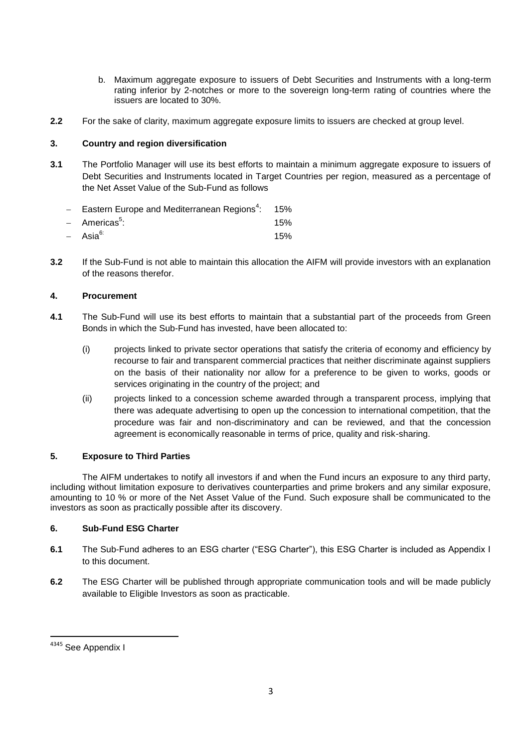- b. Maximum aggregate exposure to issuers of Debt Securities and Instruments with a long-term rating inferior by 2-notches or more to the sovereign long-term rating of countries where the issuers are located to 30%.
- **2.2** For the sake of clarity, maximum aggregate exposure limits to issuers are checked at group level.

#### **3. Country and region diversification**

**3.1** The Portfolio Manager will use its best efforts to maintain a minimum aggregate exposure to issuers of Debt Securities and Instruments located in Target Countries per region, measured as a percentage of the Net Asset Value of the Sub-Fund as follows

| - Eastern Europe and Mediterranean Regions <sup>4</sup> : 15% |     |
|---------------------------------------------------------------|-----|
| - Americas <sup>5</sup> :                                     | 15% |
| - Asia <sup>6:</sup>                                          | 15% |

**3.2** If the Sub-Fund is not able to maintain this allocation the AIFM will provide investors with an explanation of the reasons therefor.

#### **4. Procurement**

- **4.1** The Sub-Fund will use its best efforts to maintain that a substantial part of the proceeds from Green Bonds in which the Sub-Fund has invested, have been allocated to:
	- (i) projects linked to private sector operations that satisfy the criteria of economy and efficiency by recourse to fair and transparent commercial practices that neither discriminate against suppliers on the basis of their nationality nor allow for a preference to be given to works, goods or services originating in the country of the project; and
	- (ii) projects linked to a concession scheme awarded through a transparent process, implying that there was adequate advertising to open up the concession to international competition, that the procedure was fair and non-discriminatory and can be reviewed, and that the concession agreement is economically reasonable in terms of price, quality and risk-sharing.

#### **5. Exposure to Third Parties**

The AIFM undertakes to notify all investors if and when the Fund incurs an exposure to any third party, including without limitation exposure to derivatives counterparties and prime brokers and any similar exposure, amounting to 10 % or more of the Net Asset Value of the Fund. Such exposure shall be communicated to the investors as soon as practically possible after its discovery.

### **6. Sub-Fund ESG Charter**

- **6.1** The Sub-Fund adheres to an ESG charter ("ESG Charter"), this ESG Charter is included as Appendix I to this document.
- **6.2** The ESG Charter will be published through appropriate communication tools and will be made publicly available to Eligible Investors as soon as practicable.

 4345 See Appendix I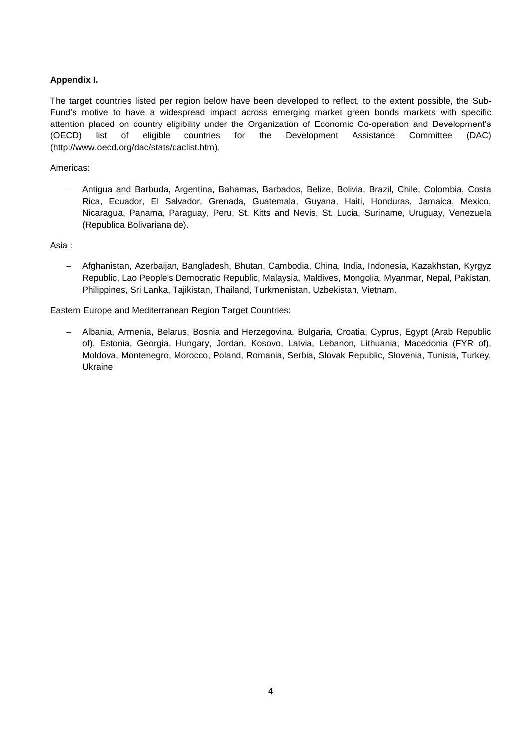### **Appendix I.**

The target countries listed per region below have been developed to reflect, to the extent possible, the Sub-Fund's motive to have a widespread impact across emerging market green bonds markets with specific attention placed on country eligibility under the Organization of Economic Co-operation and Development's (OECD) list of eligible countries for the Development Assistance Committee (DAC) [\(http://www.oecd.org/dac/stats/daclist.htm\)](http://www.oecd.org/dac/stats/daclist.htm).

Americas:

 Antigua and Barbuda, Argentina, Bahamas, Barbados, Belize, Bolivia, Brazil, Chile, Colombia, Costa Rica, Ecuador, El Salvador, Grenada, Guatemala, Guyana, Haiti, Honduras, Jamaica, Mexico, Nicaragua, Panama, Paraguay, Peru, St. Kitts and Nevis, St. Lucia, Suriname, Uruguay, Venezuela (Republica Bolivariana de).

Asia :

 Afghanistan, Azerbaijan, Bangladesh, Bhutan, Cambodia, China, India, Indonesia, Kazakhstan, Kyrgyz Republic, Lao People's Democratic Republic, Malaysia, Maldives, Mongolia, Myanmar, Nepal, Pakistan, Philippines, Sri Lanka, Tajikistan, Thailand, Turkmenistan, Uzbekistan, Vietnam.

Eastern Europe and Mediterranean Region Target Countries:

 Albania, Armenia, Belarus, Bosnia and Herzegovina, Bulgaria, Croatia, Cyprus, Egypt (Arab Republic of), Estonia, Georgia, Hungary, Jordan, Kosovo, Latvia, Lebanon, Lithuania, Macedonia (FYR of), Moldova, Montenegro, Morocco, Poland, Romania, Serbia, Slovak Republic, Slovenia, Tunisia, Turkey, Ukraine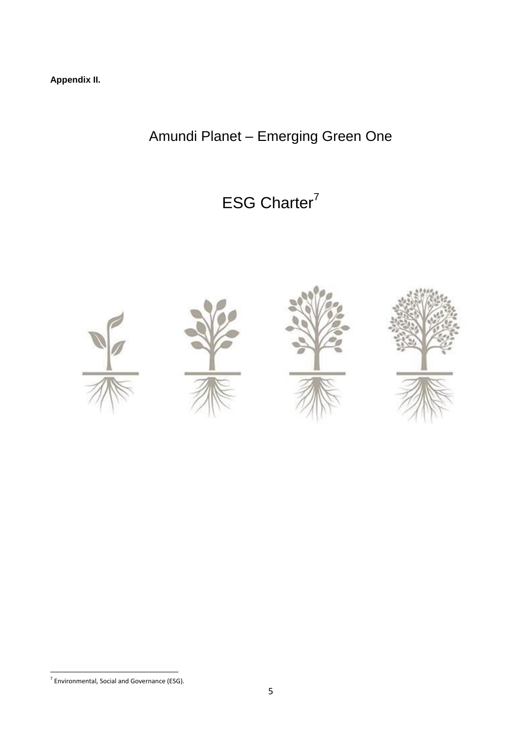**Appendix II.**

Amundi Planet – Emerging Green One

ESG Charter<sup>7</sup>



**The Communist Communist Communist Communist Communist Communist Communist Communist Communist Communist Communi**<br>The Soviet Communist Communist Communist Communist Communist Communist Communist Communist Communist Communi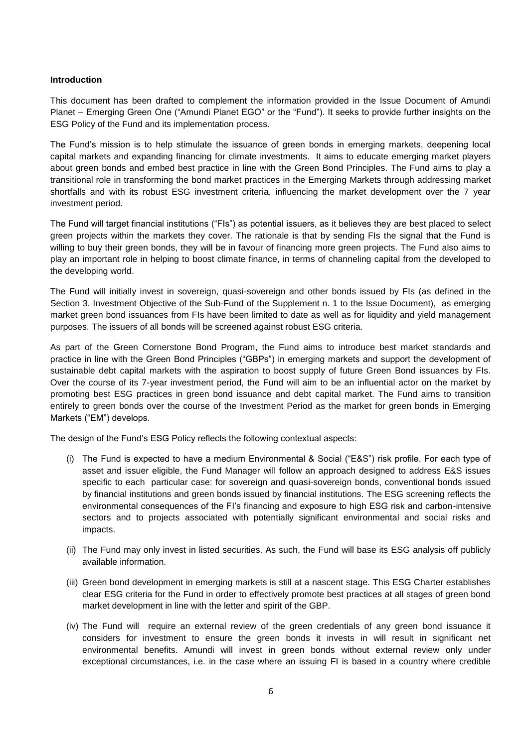#### **Introduction**

This document has been drafted to complement the information provided in the Issue Document of Amundi Planet – Emerging Green One ("Amundi Planet EGO" or the "Fund"). It seeks to provide further insights on the ESG Policy of the Fund and its implementation process.

The Fund's mission is to help stimulate the issuance of green bonds in emerging markets, deepening local capital markets and expanding financing for climate investments. It aims to educate emerging market players about green bonds and embed best practice in line with the Green Bond Principles. The Fund aims to play a transitional role in transforming the bond market practices in the Emerging Markets through addressing market shortfalls and with its robust ESG investment criteria, influencing the market development over the 7 year investment period.

The Fund will target financial institutions ("FIs") as potential issuers, as it believes they are best placed to select green projects within the markets they cover. The rationale is that by sending FIs the signal that the Fund is willing to buy their green bonds, they will be in favour of financing more green projects. The Fund also aims to play an important role in helping to boost climate finance, in terms of channeling capital from the developed to the developing world.

The Fund will initially invest in sovereign, quasi-sovereign and other bonds issued by FIs (as defined in the Section 3. Investment Objective of the Sub-Fund of the Supplement n. 1 to the Issue Document), as emerging market green bond issuances from FIs have been limited to date as well as for liquidity and yield management purposes. The issuers of all bonds will be screened against robust ESG criteria.

As part of the Green Cornerstone Bond Program, the Fund aims to introduce best market standards and practice in line with the Green Bond Principles ("GBPs") in emerging markets and support the development of sustainable debt capital markets with the aspiration to boost supply of future Green Bond issuances by FIs. Over the course of its 7-year investment period, the Fund will aim to be an influential actor on the market by promoting best ESG practices in green bond issuance and debt capital market. The Fund aims to transition entirely to green bonds over the course of the Investment Period as the market for green bonds in Emerging Markets ("EM") develops.

The design of the Fund's ESG Policy reflects the following contextual aspects:

- (i) The Fund is expected to have a medium Environmental & Social ("E&S") risk profile. For each type of asset and issuer eligible, the Fund Manager will follow an approach designed to address E&S issues specific to each particular case: for sovereign and quasi-sovereign bonds, conventional bonds issued by financial institutions and green bonds issued by financial institutions. The ESG screening reflects the environmental consequences of the FI's financing and exposure to high ESG risk and carbon-intensive sectors and to projects associated with potentially significant environmental and social risks and impacts.
- (ii) The Fund may only invest in listed securities. As such, the Fund will base its ESG analysis off publicly available information.
- (iii) Green bond development in emerging markets is still at a nascent stage. This ESG Charter establishes clear ESG criteria for the Fund in order to effectively promote best practices at all stages of green bond market development in line with the letter and spirit of the GBP.
- (iv) The Fund will require an external review of the green credentials of any green bond issuance it considers for investment to ensure the green bonds it invests in will result in significant net environmental benefits. Amundi will invest in green bonds without external review only under exceptional circumstances, i.e. in the case where an issuing FI is based in a country where credible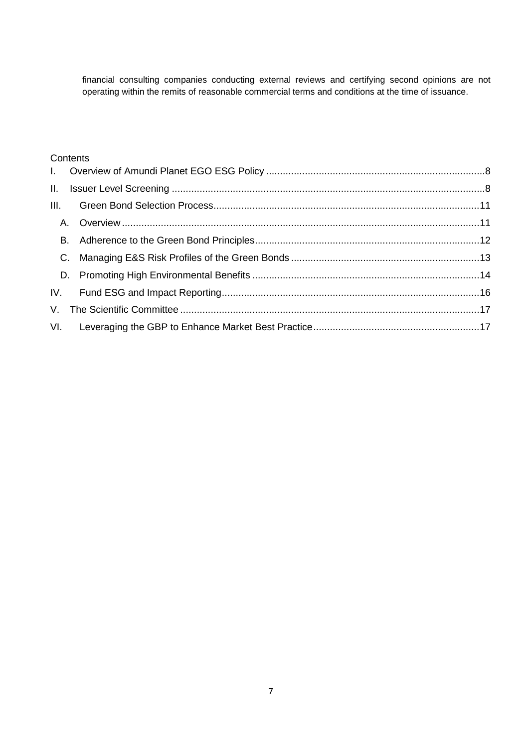financial consulting companies conducting external reviews and certifying second opinions are not operating within the remits of reasonable commercial terms and conditions at the time of issuance.

### **Contents**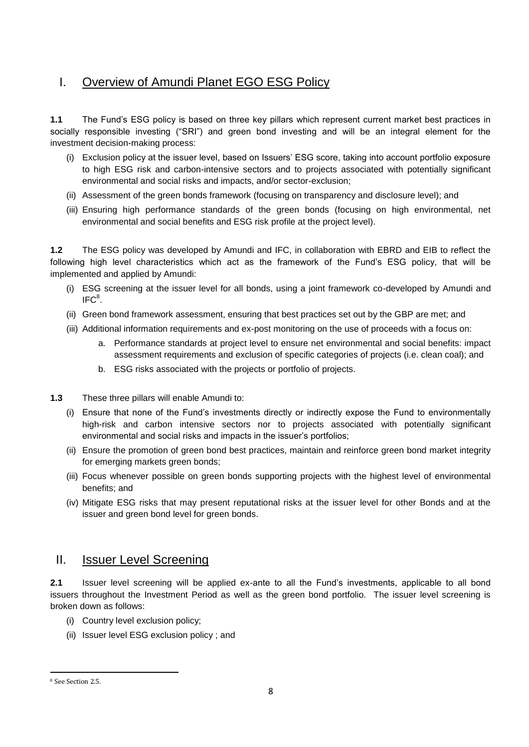# <span id="page-7-0"></span>I. Overview of Amundi Planet EGO ESG Policy

**1.1** The Fund's ESG policy is based on three key pillars which represent current market best practices in socially responsible investing ("SRI") and green bond investing and will be an integral element for the investment decision-making process:

- (i) Exclusion policy at the issuer level, based on Issuers' ESG score, taking into account portfolio exposure to high ESG risk and carbon-intensive sectors and to projects associated with potentially significant environmental and social risks and impacts, and/or sector-exclusion;
- (ii) Assessment of the green bonds framework (focusing on transparency and disclosure level); and
- (iii) Ensuring high performance standards of the green bonds (focusing on high environmental, net environmental and social benefits and ESG risk profile at the project level).

**1.2** The ESG policy was developed by Amundi and IFC, in collaboration with EBRD and EIB to reflect the following high level characteristics which act as the framework of the Fund's ESG policy, that will be implemented and applied by Amundi:

- (i) ESG screening at the issuer level for all bonds, using a joint framework co-developed by Amundi and  $\mathsf{IFC}^8$ .
- (ii) Green bond framework assessment, ensuring that best practices set out by the GBP are met; and
- (iii) Additional information requirements and ex-post monitoring on the use of proceeds with a focus on:
	- a. Performance standards at project level to ensure net environmental and social benefits: impact assessment requirements and exclusion of specific categories of projects (i.e. clean coal); and
	- b. ESG risks associated with the projects or portfolio of projects.
- **1.3** These three pillars will enable Amundi to:
	- (i) Ensure that none of the Fund's investments directly or indirectly expose the Fund to environmentally high-risk and carbon intensive sectors nor to projects associated with potentially significant environmental and social risks and impacts in the issuer's portfolios;
	- (ii) Ensure the promotion of green bond best practices, maintain and reinforce green bond market integrity for emerging markets green bonds;
	- (iii) Focus whenever possible on green bonds supporting projects with the highest level of environmental benefits; and
	- (iv) Mitigate ESG risks that may present reputational risks at the issuer level for other Bonds and at the issuer and green bond level for green bonds.

### <span id="page-7-1"></span>II. Issuer Level Screening

**2.1** Issuer level screening will be applied ex-ante to all the Fund's investments, applicable to all bond issuers throughout the Investment Period as well as the green bond portfolio. The issuer level screening is broken down as follows:

- (i) Country level exclusion policy;
- (ii) Issuer level ESG exclusion policy ; and

 $\overline{a}$ 

<sup>8</sup> See Section 2.5.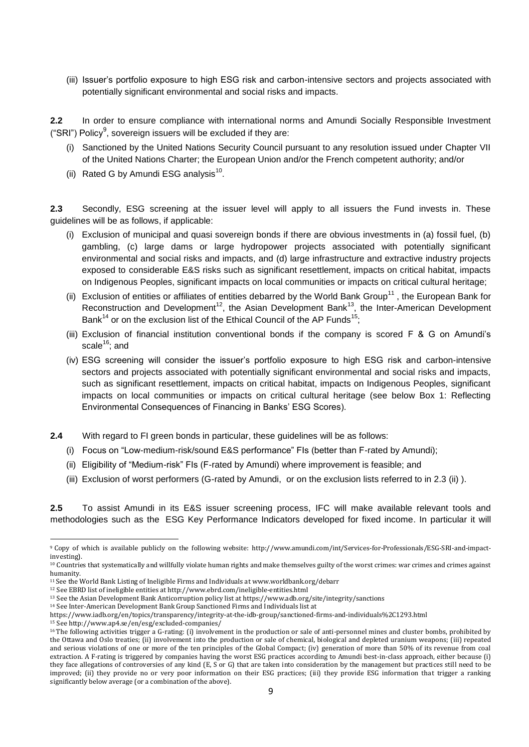(iii) Issuer's portfolio exposure to high ESG risk and carbon-intensive sectors and projects associated with potentially significant environmental and social risks and impacts.

**2.2** In order to ensure compliance with international norms and Amundi Socially Responsible Investment ("SRI") Policy<sup>9</sup>, sovereign issuers will be excluded if they are:

- (i) Sanctioned by the United Nations Security Council pursuant to any resolution issued under Chapter VII of the United Nations Charter; the European Union and/or the French competent authority; and/or
- (ii) Rated G by Amundi ESG analysis $^{10}$ .

**2.3** Secondly, ESG screening at the issuer level will apply to all issuers the Fund invests in. These guidelines will be as follows, if applicable:

- (i) Exclusion of municipal and quasi sovereign bonds if there are obvious investments in (a) fossil fuel, (b) gambling, (c) large dams or large hydropower projects associated with potentially significant environmental and social risks and impacts, and (d) large infrastructure and extractive industry projects exposed to considerable E&S risks such as significant resettlement, impacts on critical habitat, impacts on Indigenous Peoples, significant impacts on local communities or impacts on critical cultural heritage;
- (ii) Exclusion of entities or affiliates of entities debarred by the World Bank Group<sup>11</sup>, the European Bank for Reconstruction and Development<sup>12</sup>, the Asian Development Bank<sup>13</sup>, the Inter-American Development Bank<sup>14</sup> or on the exclusion list of the Ethical Council of the AP Funds<sup>15</sup>;
- (iii) Exclusion of financial institution conventional bonds if the company is scored F & G on Amundi's scale $16$ ; and
- (iv) ESG screening will consider the issuer's portfolio exposure to high ESG risk and carbon-intensive sectors and projects associated with potentially significant environmental and social risks and impacts, such as significant resettlement, impacts on critical habitat, impacts on Indigenous Peoples, significant impacts on local communities or impacts on critical cultural heritage (see below Box 1: Reflecting Environmental Consequences of Financing in Banks' ESG Scores).
- **2.4** With regard to FI green bonds in particular, these guidelines will be as follows:
	- (i) Focus on "Low-medium-risk/sound E&S performance" FIs (better than F-rated by Amundi);
	- (ii) Eligibility of "Medium-risk" FIs (F-rated by Amundi) where improvement is feasible; and
	- (iii) Exclusion of worst performers (G-rated by Amundi, or on the exclusion lists referred to in 2.3 (ii) ).

**2.5** To assist Amundi in its E&S issuer screening process, IFC will make available relevant tools and methodologies such as the ESG Key Performance Indicators developed for fixed income. In particular it will

**.** 

<sup>9</sup> Copy of which is available publicly on the following website: [http://www.amundi.com/int/Services-for-Professionals/ESG-SRI-and-impact](http://www.amundi.com/int/Services-for-Professionals/ESG-SRI-and-impact-investing)[investing\)](http://www.amundi.com/int/Services-for-Professionals/ESG-SRI-and-impact-investing).

<sup>10</sup> Countries that systematically and willfully violate human rights and make themselves guilty of the worst crimes: war crimes and crimes against humanity.

<sup>11</sup> See the World Bank Listing of Ineligible Firms and Individuals a[t www.worldbank.org/debarr](http://www.worldbank.org/debarr)

<sup>12</sup> See EBRD list of ineligible entities at http://www.ebrd.com/ineligible-entities.html

<sup>13</sup> See the Asian Development Bank Anticorruption policy list at https://www.adb.org/site/integrity/sanctions

<sup>14</sup> See Inter-American Development Bank Group Sanctioned Firms and Individuals list at

https://www.iadb.org/en/topics/transparency/integrity-at-the-idb-group/sanctioned-firms-and-individuals%2C1293.html

<sup>15</sup> See http://www.ap4.se/en/esg/excluded-companies/

<sup>&</sup>lt;sup>16</sup>The following activities trigger a G-rating: (i) involvement in the production or sale of anti-personnel mines and cluster bombs, prohibited by the Ottawa and Oslo treaties; (ii) involvement into the production or sale of chemical, biological and depleted uranium weapons; (iii) repeated and serious violations of one or more of the ten principles of the Global Compact; (iv) generation of more than 50% of its revenue from coal extraction. A F-rating is triggered by companies having the worst ESG practices according to Amundi best-in-class approach, either because (i) they face allegations of controversies of any kind (E, S or G) that are taken into consideration by the management but practices still need to be improved; (ii) they provide no or very poor information on their ESG practices; (iii) they provide ESG information that trigger a ranking significantly below average (or a combination of the above).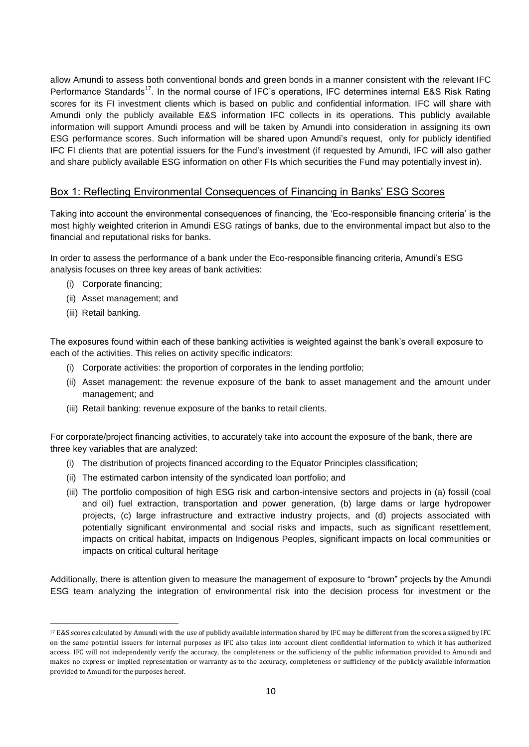allow Amundi to assess both conventional bonds and green bonds in a manner consistent with the relevant IFC Performance Standards<sup>17</sup>. In the normal course of IFC's operations, IFC determines internal E&S Risk Rating scores for its FI investment clients which is based on public and confidential information. IFC will share with Amundi only the publicly available E&S information IFC collects in its operations. This publicly available information will support Amundi process and will be taken by Amundi into consideration in assigning its own ESG performance scores. Such information will be shared upon Amundi's request, only for publicly identified IFC FI clients that are potential issuers for the Fund's investment (if requested by Amundi, IFC will also gather and share publicly available ESG information on other FIs which securities the Fund may potentially invest in).

### Box 1: Reflecting Environmental Consequences of Financing in Banks' ESG Scores

Taking into account the environmental consequences of financing, the 'Eco-responsible financing criteria' is the most highly weighted criterion in Amundi ESG ratings of banks, due to the environmental impact but also to the financial and reputational risks for banks.

In order to assess the performance of a bank under the Eco-responsible financing criteria, Amundi's ESG analysis focuses on three key areas of bank activities:

- (i) Corporate financing;
- (ii) Asset management; and
- (iii) Retail banking.

**.** 

The exposures found within each of these banking activities is weighted against the bank's overall exposure to each of the activities. This relies on activity specific indicators:

- (i) Corporate activities: the proportion of corporates in the lending portfolio;
- (ii) Asset management: the revenue exposure of the bank to asset management and the amount under management; and
- (iii) Retail banking: revenue exposure of the banks to retail clients.

For corporate/project financing activities, to accurately take into account the exposure of the bank, there are three key variables that are analyzed:

- (i) The distribution of projects financed according to the Equator Principles classification;
- (ii) The estimated carbon intensity of the syndicated loan portfolio; and
- (iii) The portfolio composition of high ESG risk and carbon-intensive sectors and projects in (a) fossil (coal and oil) fuel extraction, transportation and power generation, (b) large dams or large hydropower projects, (c) large infrastructure and extractive industry projects, and (d) projects associated with potentially significant environmental and social risks and impacts, such as significant resettlement, impacts on critical habitat, impacts on Indigenous Peoples, significant impacts on local communities or impacts on critical cultural heritage

Additionally, there is attention given to measure the management of exposure to "brown" projects by the Amundi ESG team analyzing the integration of environmental risk into the decision process for investment or the

<sup>17</sup> E&S scores calculated by Amundi with the use of publicly available information shared by IFC may be different from the scores assigned by IFC on the same potential issuers for internal purposes as IFC also takes into account client confidential information to which it has authorized access. IFC will not independently verify the accuracy, the completeness or the sufficiency of the public information provided to Amundi and makes no express or implied representation or warranty as to the accuracy, completeness or sufficiency of the publicly available information provided to Amundi for the purposes hereof.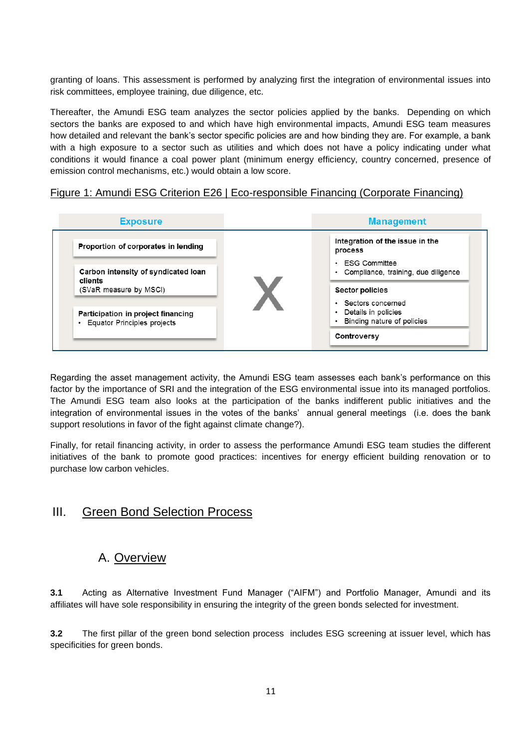granting of loans. This assessment is performed by analyzing first the integration of environmental issues into risk committees, employee training, due diligence, etc.

Thereafter, the Amundi ESG team analyzes the sector policies applied by the banks. Depending on which sectors the banks are exposed to and which have high environmental impacts, Amundi ESG team measures how detailed and relevant the bank's sector specific policies are and how binding they are. For example, a bank with a high exposure to a sector such as utilities and which does not have a policy indicating under what conditions it would finance a coal power plant (minimum energy efficiency, country concerned, presence of emission control mechanisms, etc.) would obtain a low score.

### Figure 1: Amundi ESG Criterion E26 | Eco-responsible Financing (Corporate Financing)



Regarding the asset management activity, the Amundi ESG team assesses each bank's performance on this factor by the importance of SRI and the integration of the ESG environmental issue into its managed portfolios. The Amundi ESG team also looks at the participation of the banks indifferent public initiatives and the integration of environmental issues in the votes of the banks' annual general meetings (i.e. does the bank support resolutions in favor of the fight against climate change?).

Finally, for retail financing activity, in order to assess the performance Amundi ESG team studies the different initiatives of the bank to promote good practices: incentives for energy efficient building renovation or to purchase low carbon vehicles.

# <span id="page-10-0"></span>III. Green Bond Selection Process

# A. Overview

<span id="page-10-1"></span>**3.1** Acting as Alternative Investment Fund Manager ("AIFM") and Portfolio Manager, Amundi and its affiliates will have sole responsibility in ensuring the integrity of the green bonds selected for investment.

**3.2** The first pillar of the green bond selection process includes ESG screening at issuer level, which has specificities for green bonds.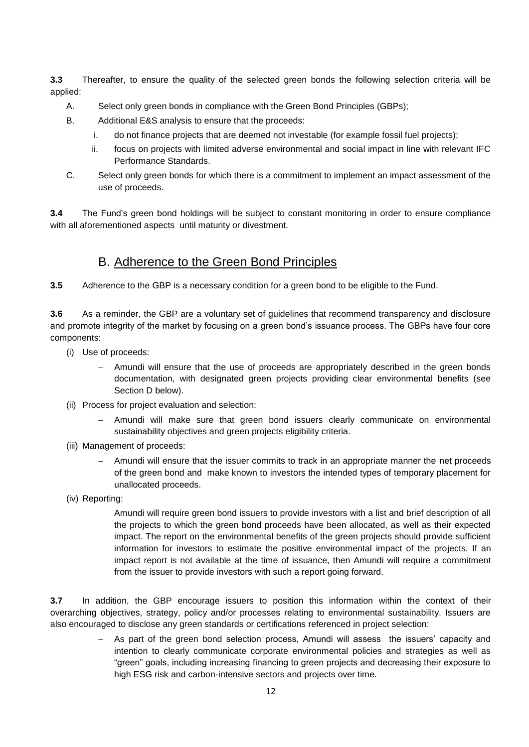**3.3** Thereafter, to ensure the quality of the selected green bonds the following selection criteria will be applied:

- A. Select only green bonds in compliance with the Green Bond Principles (GBPs);
- B. Additional E&S analysis to ensure that the proceeds:
	- i. do not finance projects that are deemed not investable (for example fossil fuel projects);
	- ii. focus on projects with limited adverse environmental and social impact in line with relevant IFC Performance Standards.
- C. Select only green bonds for which there is a commitment to implement an impact assessment of the use of proceeds.

**3.4** The Fund's green bond holdings will be subject to constant monitoring in order to ensure compliance with all aforementioned aspects until maturity or divestment.

### B. Adherence to the Green Bond Principles

<span id="page-11-0"></span>**3.5** Adherence to the GBP is a necessary condition for a green bond to be eligible to the Fund.

**3.6** As a reminder, the GBP are a voluntary set of guidelines that recommend transparency and disclosure and promote integrity of the market by focusing on a green bond's issuance process. The GBPs have four core components:

- (i) Use of proceeds:
	- Amundi will ensure that the use of proceeds are appropriately described in the green bonds documentation, with designated green projects providing clear environmental benefits (see Section D below).
- (ii) Process for project evaluation and selection:
	- Amundi will make sure that green bond issuers clearly communicate on environmental sustainability objectives and green projects eligibility criteria.
- (iii) Management of proceeds:
	- Amundi will ensure that the issuer commits to track in an appropriate manner the net proceeds of the green bond and make known to investors the intended types of temporary placement for unallocated proceeds.
- (iv) Reporting:

Amundi will require green bond issuers to provide investors with a list and brief description of all the projects to which the green bond proceeds have been allocated, as well as their expected impact. The report on the environmental benefits of the green projects should provide sufficient information for investors to estimate the positive environmental impact of the projects. If an impact report is not available at the time of issuance, then Amundi will require a commitment from the issuer to provide investors with such a report going forward.

**3.7** In addition, the GBP encourage issuers to position this information within the context of their overarching objectives, strategy, policy and/or processes relating to environmental sustainability. Issuers are also encouraged to disclose any green standards or certifications referenced in project selection:

> As part of the green bond selection process, Amundi will assess the issuers' capacity and intention to clearly communicate corporate environmental policies and strategies as well as "green" goals, including increasing financing to green projects and decreasing their exposure to high ESG risk and carbon-intensive sectors and projects over time.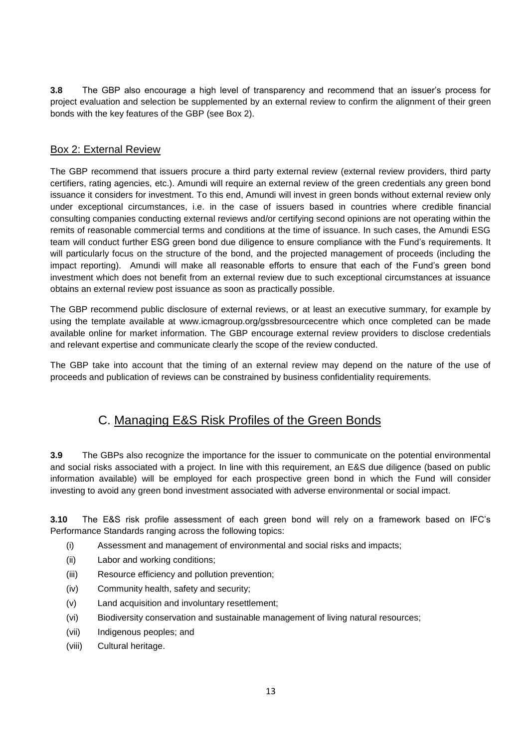**3.8** The GBP also encourage a high level of transparency and recommend that an issuer's process for project evaluation and selection be supplemented by an external review to confirm the alignment of their green bonds with the key features of the GBP (see Box 2).

### Box 2: External Review

The GBP recommend that issuers procure a third party external review (external review providers, third party certifiers, rating agencies, etc.). Amundi will require an external review of the green credentials any green bond issuance it considers for investment. To this end, Amundi will invest in green bonds without external review only under exceptional circumstances, i.e. in the case of issuers based in countries where credible financial consulting companies conducting external reviews and/or certifying second opinions are not operating within the remits of reasonable commercial terms and conditions at the time of issuance. In such cases, the Amundi ESG team will conduct further ESG green bond due diligence to ensure compliance with the Fund's requirements. It will particularly focus on the structure of the bond, and the projected management of proceeds (including the impact reporting). Amundi will make all reasonable efforts to ensure that each of the Fund's green bond investment which does not benefit from an external review due to such exceptional circumstances at issuance obtains an external review post issuance as soon as practically possible.

The GBP recommend public disclosure of external reviews, or at least an executive summary, for example by using the template available at www.icmagroup.org/gssbresourcecentre which once completed can be made available online for market information. The GBP encourage external review providers to disclose credentials and relevant expertise and communicate clearly the scope of the review conducted.

The GBP take into account that the timing of an external review may depend on the nature of the use of proceeds and publication of reviews can be constrained by business confidentiality requirements.

# C. Managing E&S Risk Profiles of the Green Bonds

<span id="page-12-0"></span>**3.9** The GBPs also recognize the importance for the issuer to communicate on the potential environmental and social risks associated with a project. In line with this requirement, an E&S due diligence (based on public information available) will be employed for each prospective green bond in which the Fund will consider investing to avoid any green bond investment associated with adverse environmental or social impact.

**3.10** The E&S risk profile assessment of each green bond will rely on a framework based on IFC's Performance Standards ranging across the following topics:

- (i) Assessment and management of environmental and social risks and impacts;
- (ii) Labor and working conditions;
- (iii) Resource efficiency and pollution prevention;
- (iv) Community health, safety and security;
- (v) Land acquisition and involuntary resettlement;
- (vi) Biodiversity conservation and sustainable management of living natural resources;
- (vii) Indigenous peoples; and
- (viii) Cultural heritage.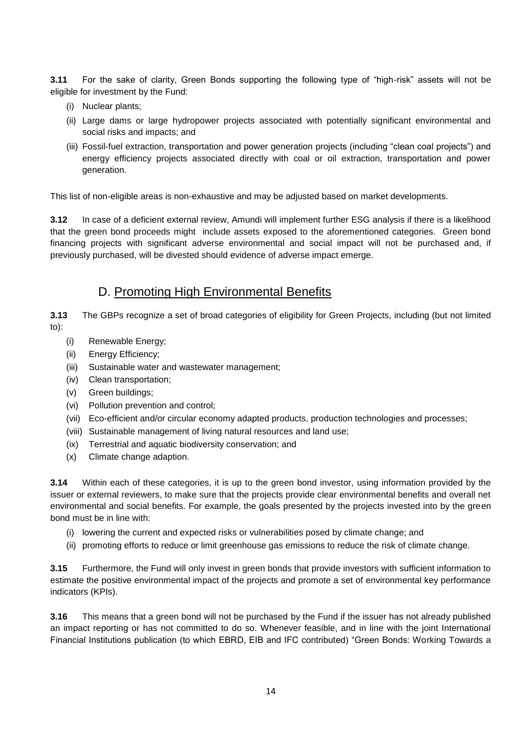**3.11** For the sake of clarity, Green Bonds supporting the following type of "high-risk" assets will not be eligible for investment by the Fund:

- (i) Nuclear plants;
- (ii) Large dams or large hydropower projects associated with potentially significant environmental and social risks and impacts; and
- (iii) Fossil-fuel extraction, transportation and power generation projects (including "clean coal projects") and energy efficiency projects associated directly with coal or oil extraction, transportation and power generation.

This list of non-eligible areas is non-exhaustive and may be adjusted based on market developments.

**3.12** In case of a deficient external review, Amundi will implement further ESG analysis if there is a likelihood that the green bond proceeds might include assets exposed to the aforementioned categories. Green bond financing projects with significant adverse environmental and social impact will not be purchased and, if previously purchased, will be divested should evidence of adverse impact emerge.

# D. Promoting High Environmental Benefits

<span id="page-13-0"></span>**3.13** The GBPs recognize a set of broad categories of eligibility for Green Projects, including (but not limited to):

- (i) Renewable Energy;
- (ii) Energy Efficiency;
- (iii) Sustainable water and wastewater management;
- (iv) Clean transportation;
- (v) Green buildings;
- (vi) Pollution prevention and control;
- (vii) Eco-efficient and/or circular economy adapted products, production technologies and processes;
- (viii) Sustainable management of living natural resources and land use;
- (ix) Terrestrial and aquatic biodiversity conservation; and
- (x) Climate change adaption.

**3.14** Within each of these categories, it is up to the green bond investor, using information provided by the issuer or external reviewers, to make sure that the projects provide clear environmental benefits and overall net environmental and social benefits. For example, the goals presented by the projects invested into by the green bond must be in line with:

- (i) lowering the current and expected risks or vulnerabilities posed by climate change; and
- (ii) promoting efforts to reduce or limit greenhouse gas emissions to reduce the risk of climate change.

**3.15** Furthermore, the Fund will only invest in green bonds that provide investors with sufficient information to estimate the positive environmental impact of the projects and promote a set of environmental key performance indicators (KPIs).

**3.16** This means that a green bond will not be purchased by the Fund if the issuer has not already published an impact reporting or has not committed to do so. Whenever feasible, and in line with the joint International Financial Institutions publication (to which EBRD, EIB and IFC contributed) "Green Bonds: Working Towards a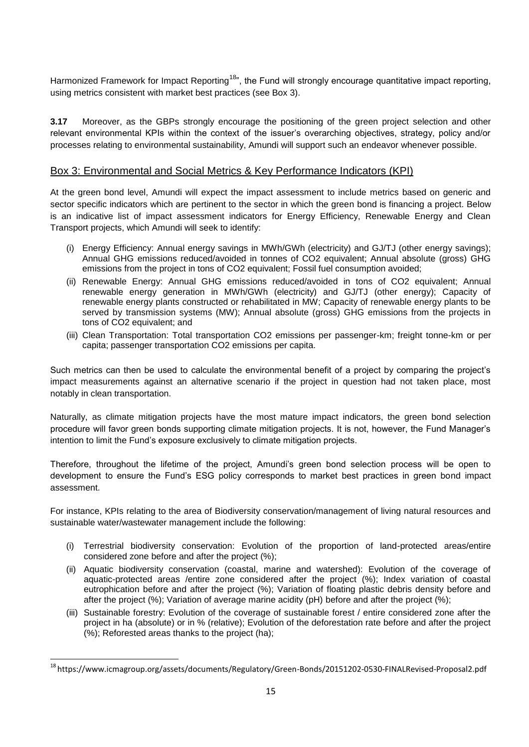Harmonized Framework for Impact Reporting<sup>18</sup>", the Fund will strongly encourage quantitative impact reporting, using metrics consistent with market best practices (see Box 3).

**3.17** Moreover, as the GBPs strongly encourage the positioning of the green project selection and other relevant environmental KPIs within the context of the issuer's overarching objectives, strategy, policy and/or processes relating to environmental sustainability, Amundi will support such an endeavor whenever possible.

### Box 3: Environmental and Social Metrics & Key Performance Indicators (KPI)

At the green bond level, Amundi will expect the impact assessment to include metrics based on generic and sector specific indicators which are pertinent to the sector in which the green bond is financing a project. Below is an indicative list of impact assessment indicators for Energy Efficiency, Renewable Energy and Clean Transport projects, which Amundi will seek to identify:

- (i) Energy Efficiency: Annual energy savings in MWh/GWh (electricity) and GJ/TJ (other energy savings); Annual GHG emissions reduced/avoided in tonnes of CO2 equivalent; Annual absolute (gross) GHG emissions from the project in tons of CO2 equivalent; Fossil fuel consumption avoided;
- (ii) Renewable Energy: Annual GHG emissions reduced/avoided in tons of CO2 equivalent; Annual renewable energy generation in MWh/GWh (electricity) and GJ/TJ (other energy); Capacity of renewable energy plants constructed or rehabilitated in MW; Capacity of renewable energy plants to be served by transmission systems (MW); Annual absolute (gross) GHG emissions from the projects in tons of CO2 equivalent; and
- (iii) Clean Transportation: Total transportation CO2 emissions per passenger-km; freight tonne-km or per capita; passenger transportation CO2 emissions per capita.

Such metrics can then be used to calculate the environmental benefit of a project by comparing the project's impact measurements against an alternative scenario if the project in question had not taken place, most notably in clean transportation.

Naturally, as climate mitigation projects have the most mature impact indicators, the green bond selection procedure will favor green bonds supporting climate mitigation projects. It is not, however, the Fund Manager's intention to limit the Fund's exposure exclusively to climate mitigation projects.

Therefore, throughout the lifetime of the project, Amundi's green bond selection process will be open to development to ensure the Fund's ESG policy corresponds to market best practices in green bond impact assessment.

For instance, KPIs relating to the area of Biodiversity conservation/management of living natural resources and sustainable water/wastewater management include the following:

- (i) Terrestrial biodiversity conservation: Evolution of the proportion of land-protected areas/entire considered zone before and after the project (%);
- (ii) Aquatic biodiversity conservation (coastal, marine and watershed): Evolution of the coverage of aquatic-protected areas /entire zone considered after the project (%); Index variation of coastal eutrophication before and after the project (%); Variation of floating plastic debris density before and after the project (%); Variation of average marine acidity (pH) before and after the project (%);
- (iii) Sustainable forestry: Evolution of the coverage of sustainable forest / entire considered zone after the project in ha (absolute) or in % (relative); Evolution of the deforestation rate before and after the project (%); Reforested areas thanks to the project (ha);

 $\overline{a}$ 

<sup>18</sup> https://www.icmagroup.org/assets/documents/Regulatory/Green-Bonds/20151202-0530-FINALRevised-Proposal2.pdf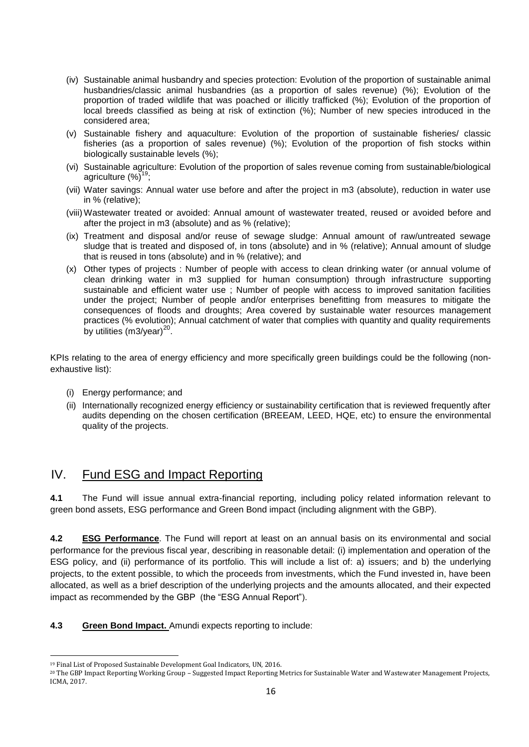- (iv) Sustainable animal husbandry and species protection: Evolution of the proportion of sustainable animal husbandries/classic animal husbandries (as a proportion of sales revenue) (%); Evolution of the proportion of traded wildlife that was poached or illicitly trafficked (%); Evolution of the proportion of local breeds classified as being at risk of extinction (%); Number of new species introduced in the considered area;
- (v) Sustainable fishery and aquaculture: Evolution of the proportion of sustainable fisheries/ classic fisheries (as a proportion of sales revenue) (%); Evolution of the proportion of fish stocks within biologically sustainable levels (%);
- (vi) Sustainable agriculture: Evolution of the proportion of sales revenue coming from sustainable/biological agriculture  $(\%)^{19}$ ;
- (vii) Water savings: Annual water use before and after the project in m3 (absolute), reduction in water use in % (relative);
- (viii) Wastewater treated or avoided: Annual amount of wastewater treated, reused or avoided before and after the project in m3 (absolute) and as % (relative);
- (ix) Treatment and disposal and/or reuse of sewage sludge: Annual amount of raw/untreated sewage sludge that is treated and disposed of, in tons (absolute) and in % (relative); Annual amount of sludge that is reused in tons (absolute) and in % (relative); and
- (x) Other types of projects : Number of people with access to clean drinking water (or annual volume of clean drinking water in m3 supplied for human consumption) through infrastructure supporting sustainable and efficient water use ; Number of people with access to improved sanitation facilities under the project; Number of people and/or enterprises benefitting from measures to mitigate the consequences of floods and droughts; Area covered by sustainable water resources management practices (% evolution); Annual catchment of water that complies with quantity and quality requirements by utilities  $(m3/year)^{20}$ .

KPIs relating to the area of energy efficiency and more specifically green buildings could be the following (nonexhaustive list):

- (i) Energy performance; and
- (ii) Internationally recognized energy efficiency or sustainability certification that is reviewed frequently after audits depending on the chosen certification (BREEAM, LEED, HQE, etc) to ensure the environmental quality of the projects.

# <span id="page-15-0"></span>IV. Fund ESG and Impact Reporting

**4.1** The Fund will issue annual extra-financial reporting, including policy related information relevant to green bond assets, ESG performance and Green Bond impact (including alignment with the GBP).

**4.2 ESG Performance**. The Fund will report at least on an annual basis on its environmental and social performance for the previous fiscal year, describing in reasonable detail: (i) implementation and operation of the ESG policy, and (ii) performance of its portfolio. This will include a list of: a) issuers; and b) the underlying projects, to the extent possible, to which the proceeds from investments, which the Fund invested in, have been allocated, as well as a brief description of the underlying projects and the amounts allocated, and their expected impact as recommended by the GBP (the "ESG Annual Report").

**4.3 Green Bond Impact.** Amundi expects reporting to include:

1

<sup>19</sup> Final List of Proposed Sustainable Development Goal Indicators, UN, 2016.

<sup>20</sup> The GBP Impact Reporting Working Group – Suggested Impact Reporting Metrics for Sustainable Water and Wastewater Management Projects, ICMA, 2017*.*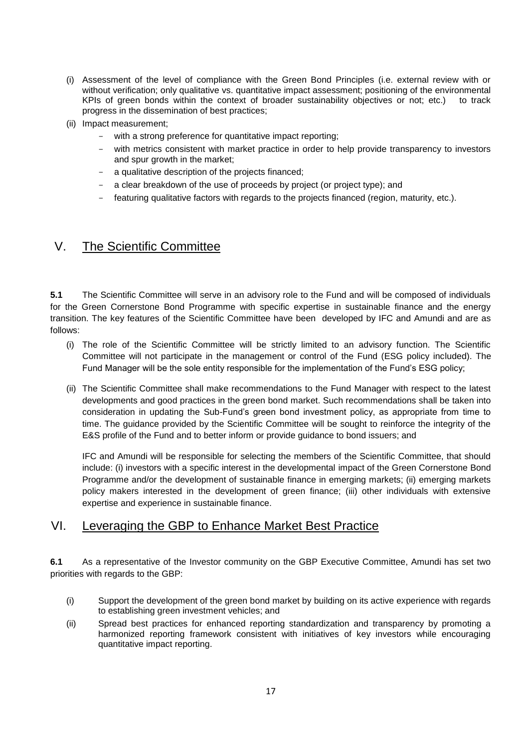- (i) Assessment of the level of compliance with the Green Bond Principles (i.e. external review with or without verification; only qualitative vs. quantitative impact assessment; positioning of the environmental KPIs of green bonds within the context of broader sustainability objectives or not; etc.) to track progress in the dissemination of best practices;
- (ii) Impact measurement;
	- with a strong preference for quantitative impact reporting;
	- with metrics consistent with market practice in order to help provide transparency to investors and spur growth in the market;
	- a qualitative description of the projects financed;
	- a clear breakdown of the use of proceeds by project (or project type); and
	- featuring qualitative factors with regards to the projects financed (region, maturity, etc.).

### <span id="page-16-0"></span>V. The Scientific Committee

**5.1** The Scientific Committee will serve in an advisory role to the Fund and will be composed of individuals for the Green Cornerstone Bond Programme with specific expertise in sustainable finance and the energy transition. The key features of the Scientific Committee have been developed by IFC and Amundi and are as follows:

- (i) The role of the Scientific Committee will be strictly limited to an advisory function. The Scientific Committee will not participate in the management or control of the Fund (ESG policy included). The Fund Manager will be the sole entity responsible for the implementation of the Fund's ESG policy;
- (ii) The Scientific Committee shall make recommendations to the Fund Manager with respect to the latest developments and good practices in the green bond market. Such recommendations shall be taken into consideration in updating the Sub-Fund's green bond investment policy, as appropriate from time to time. The guidance provided by the Scientific Committee will be sought to reinforce the integrity of the E&S profile of the Fund and to better inform or provide guidance to bond issuers; and

IFC and Amundi will be responsible for selecting the members of the Scientific Committee, that should include: (i) investors with a specific interest in the developmental impact of the Green Cornerstone Bond Programme and/or the development of sustainable finance in emerging markets; (ii) emerging markets policy makers interested in the development of green finance; (iii) other individuals with extensive expertise and experience in sustainable finance.

# <span id="page-16-1"></span>VI. Leveraging the GBP to Enhance Market Best Practice

**6.1** As a representative of the Investor community on the GBP Executive Committee, Amundi has set two priorities with regards to the GBP:

- (i) Support the development of the green bond market by building on its active experience with regards to establishing green investment vehicles; and
- (ii) Spread best practices for enhanced reporting standardization and transparency by promoting a harmonized reporting framework consistent with initiatives of key investors while encouraging quantitative impact reporting.